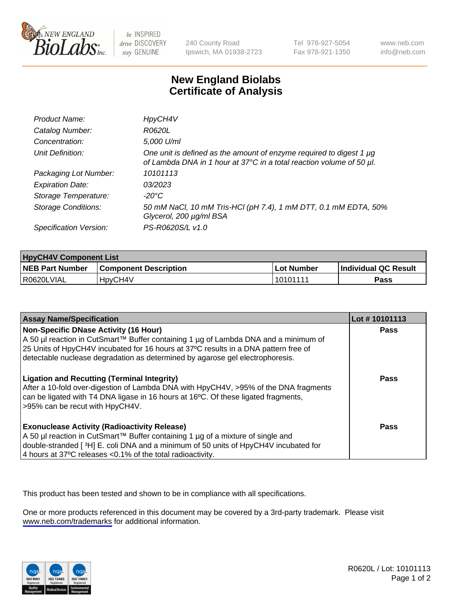

be INSPIRED drive DISCOVERY stay GENUINE

240 County Road Ipswich, MA 01938-2723 Tel 978-927-5054 Fax 978-921-1350

www.neb.com info@neb.com

## **New England Biolabs Certificate of Analysis**

| Product Name:              | HpyCH4V                                                                                                                                     |
|----------------------------|---------------------------------------------------------------------------------------------------------------------------------------------|
| Catalog Number:            | R0620L                                                                                                                                      |
| Concentration:             | 5,000 U/ml                                                                                                                                  |
| Unit Definition:           | One unit is defined as the amount of enzyme required to digest 1 µg<br>of Lambda DNA in 1 hour at 37°C in a total reaction volume of 50 µl. |
| Packaging Lot Number:      | 10101113                                                                                                                                    |
| <b>Expiration Date:</b>    | 03/2023                                                                                                                                     |
| Storage Temperature:       | -20°C                                                                                                                                       |
| <b>Storage Conditions:</b> | 50 mM NaCl, 10 mM Tris-HCl (pH 7.4), 1 mM DTT, 0.1 mM EDTA, 50%<br>Glycerol, 200 µg/ml BSA                                                  |
| Specification Version:     | PS-R0620S/L v1.0                                                                                                                            |

| <b>HpyCH4V Component List</b> |                              |             |                             |  |
|-------------------------------|------------------------------|-------------|-----------------------------|--|
| <b>NEB Part Number</b>        | <b>Component Description</b> | ∣Lot Number | <b>Individual QC Result</b> |  |
| R0620LVIAL                    | 'HpyCH4V                     | 10101111    | <b>Pass</b>                 |  |

| <b>Assay Name/Specification</b>                                                                                                                                                                                                                                                                             | Lot #10101113 |
|-------------------------------------------------------------------------------------------------------------------------------------------------------------------------------------------------------------------------------------------------------------------------------------------------------------|---------------|
| <b>Non-Specific DNase Activity (16 Hour)</b><br>A 50 µl reaction in CutSmart™ Buffer containing 1 µg of Lambda DNA and a minimum of<br>25 Units of HpyCH4V incubated for 16 hours at 37°C results in a DNA pattern free of<br>detectable nuclease degradation as determined by agarose gel electrophoresis. | <b>Pass</b>   |
| <b>Ligation and Recutting (Terminal Integrity)</b><br>After a 10-fold over-digestion of Lambda DNA with HpyCH4V, >95% of the DNA fragments<br>can be ligated with T4 DNA ligase in 16 hours at 16°C. Of these ligated fragments,<br>>95% can be recut with HpyCH4V.                                         | <b>Pass</b>   |
| <b>Exonuclease Activity (Radioactivity Release)</b><br>A 50 µl reaction in CutSmart™ Buffer containing 1 µg of a mixture of single and<br>double-stranded [3H] E. coli DNA and a minimum of 50 units of HpyCH4V incubated for<br>4 hours at 37°C releases <0.1% of the total radioactivity.                 | Pass          |

This product has been tested and shown to be in compliance with all specifications.

One or more products referenced in this document may be covered by a 3rd-party trademark. Please visit <www.neb.com/trademarks>for additional information.